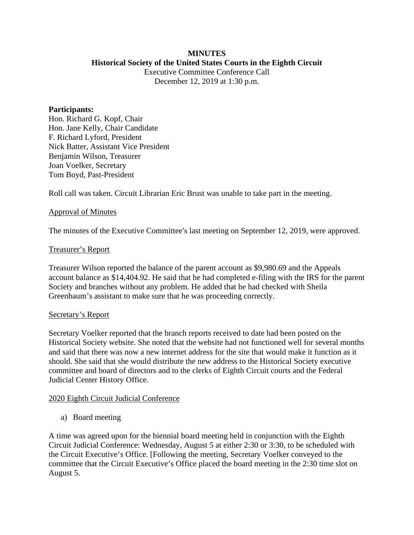#### **MINUTES Historical Society of the United States Courts in the Eighth Circuit**

Executive Committee Conference Call December 12, 2019 at 1:30 p.m.

#### **Participants:**

Hon. Richard G. Kopf, Chair Hon. Jane Kelly, Chair Candidate F. Richard Lyford, President Nick Batter, Assistant Vice President Benjamin Wilson, Treasurer Joan Voelker, Secretary Tom Boyd, Past-President

Roll call was taken. Circuit Librarian Eric Brust was unable to take part in the meeting.

## Approval of Minutes

The minutes of the Executive Committee's last meeting on September 12, 2019, were approved.

#### Treasurer's Report

Treasurer Wilson reported the balance of the parent account as \$9,980.69 and the Appeals account balance as \$14,404.92. He said that he had completed e-filing with the IRS for the parent Society and branches without any problem. He added that he had checked with Sheila Greenbaum's assistant to make sure that he was proceeding correctly.

#### Secretary's Report

Secretary Voelker reported that the branch reports received to date had been posted on the Historical Society website. She noted that the website had not functioned well for several months and said that there was now a new internet address for the site that would make it function as it should. She said that she would distribute the new address to the Historical Society executive committee and board of directors and to the clerks of Eighth Circuit courts and the Federal Judicial Center History Office.

## 2020 Eighth Circuit Judicial Conference

a) Board meeting

A time was agreed upon for the biennial board meeting held in conjunction with the Eighth Circuit Judicial Conference: Wednesday, August 5 at either 2:30 or 3:30, to be scheduled with the Circuit Executive's Office. [Following the meeting, Secretary Voelker conveyed to the committee that the Circuit Executive's Office placed the board meeting in the 2:30 time slot on August 5.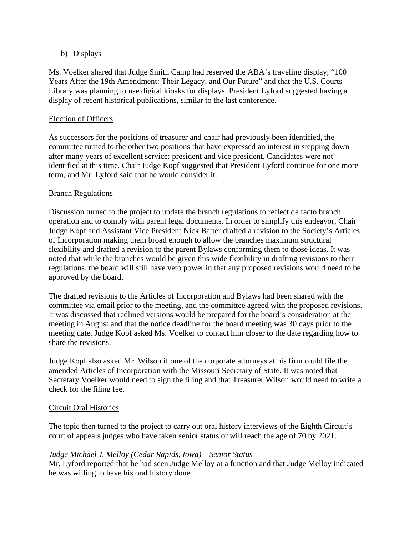# b) Displays

Ms. Voelker shared that Judge Smith Camp had reserved the ABA's traveling display, "100 Years After the 19th Amendment: Their Legacy, and Our Future" and that the U.S. Courts Library was planning to use digital kiosks for displays. President Lyford suggested having a display of recent historical publications, similar to the last conference.

# Election of Officers

As successors for the positions of treasurer and chair had previously been identified, the committee turned to the other two positions that have expressed an interest in stepping down after many years of excellent service: president and vice president. Candidates were not identified at this time. Chair Judge Kopf suggested that President Lyford continue for one more term, and Mr. Lyford said that he would consider it.

# Branch Regulations

Discussion turned to the project to update the branch regulations to reflect de facto branch operation and to comply with parent legal documents. In order to simplify this endeavor, Chair Judge Kopf and Assistant Vice President Nick Batter drafted a revision to the Society's Articles of Incorporation making them broad enough to allow the branches maximum structural flexibility and drafted a revision to the parent Bylaws conforming them to those ideas. It was noted that while the branches would be given this wide flexibility in drafting revisions to their regulations, the board will still have veto power in that any proposed revisions would need to be approved by the board.

The drafted revisions to the Articles of Incorporation and Bylaws had been shared with the committee via email prior to the meeting, and the committee agreed with the proposed revisions. It was discussed that redlined versions would be prepared for the board's consideration at the meeting in August and that the notice deadline for the board meeting was 30 days prior to the meeting date. Judge Kopf asked Ms. Voelker to contact him closer to the date regarding how to share the revisions.

Judge Kopf also asked Mr. Wilson if one of the corporate attorneys at his firm could file the amended Articles of Incorporation with the Missouri Secretary of State. It was noted that Secretary Voelker would need to sign the filing and that Treasurer Wilson would need to write a check for the filing fee.

## Circuit Oral Histories

The topic then turned to the project to carry out oral history interviews of the Eighth Circuit's court of appeals judges who have taken senior status or will reach the age of 70 by 2021.

# *Judge Michael J. Melloy (Cedar Rapids, Iowa) – Senior Status*

Mr. Lyford reported that he had seen Judge Melloy at a function and that Judge Melloy indicated he was willing to have his oral history done.